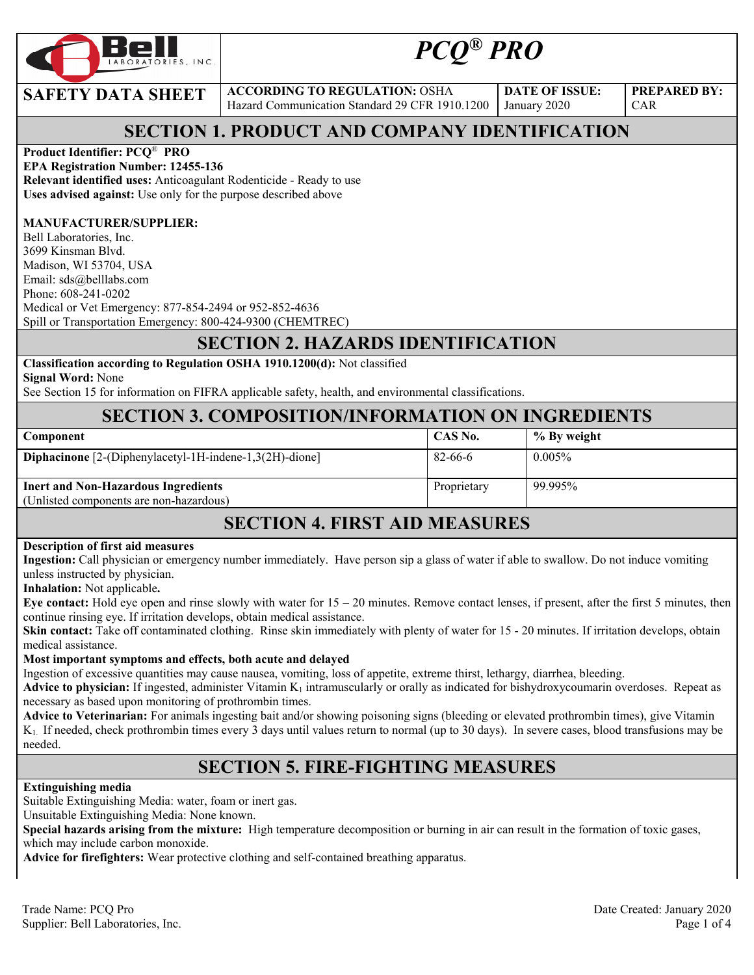

# *PCQ® PRO*

**SAFETY DATA SHEET** ACCORDING TO REGULATION: OSHA Hazard Communication Standard 29 CFR 1910.1200

**DATE OF ISSUE:**  January 2020

**PREPARED BY:**  CAR

### **SECTION 1. PRODUCT AND COMPANY IDENTIFICATION**

#### **Product Identifier: PCQ**® **PRO**

**EPA Registration Number: 12455-136 Relevant identified uses:** Anticoagulant Rodenticide - Ready to use **Uses advised against:** Use only for the purpose described above

#### **MANUFACTURER/SUPPLIER:**

Bell Laboratories, Inc. 3699 Kinsman Blvd. Madison, WI 53704, USA Email: sds@belllabs.com Phone: 608-241-0202 Medical or Vet Emergency: 877-854-2494 or 952-852-4636 Spill or Transportation Emergency: 800-424-9300 (CHEMTREC)

#### **SECTION 2. HAZARDS IDENTIFICATION**

#### **Classification according to Regulation OSHA 1910.1200(d):** Not classified

**Signal Word:** None

See Section 15 for information on FIFRA applicable safety, health, and environmental classifications.

#### **SECTION 3. COMPOSITION/INFORMATION ON INGREDIENTS**

| <b>Component</b>                                                                      | CAS No.     | % By weight |
|---------------------------------------------------------------------------------------|-------------|-------------|
| Diphacinone [2-(Diphenylacetyl-1H-indene-1,3(2H)-dione]                               | 82-66-6     | $0.005\%$   |
| <b>Inert and Non-Hazardous Ingredients</b><br>(Unlisted components are non-hazardous) | Proprietary | 99.995%     |

#### **SECTION 4. FIRST AID MEASURES**

#### **Description of first aid measures**

**Ingestion:** Call physician or emergency number immediately. Have person sip a glass of water if able to swallow. Do not induce vomiting unless instructed by physician.

**Inhalation:** Not applicable**.** 

**Eye contact:** Hold eye open and rinse slowly with water for 15 – 20 minutes. Remove contact lenses, if present, after the first 5 minutes, then continue rinsing eye. If irritation develops, obtain medical assistance.

**Skin contact:** Take off contaminated clothing. Rinse skin immediately with plenty of water for 15 - 20 minutes. If irritation develops, obtain medical assistance.

#### **Most important symptoms and effects, both acute and delayed**

Ingestion of excessive quantities may cause nausea, vomiting, loss of appetite, extreme thirst, lethargy, diarrhea, bleeding.

**Advice to physician:** If ingested, administer Vitamin  $K_1$  intramuscularly or orally as indicated for bishydroxycoumarin overdoses. Repeat as necessary as based upon monitoring of prothrombin times.

**Advice to Veterinarian:** For animals ingesting bait and/or showing poisoning signs (bleeding or elevated prothrombin times), give Vitamin K1. If needed, check prothrombin times every 3 days until values return to normal (up to 30 days). In severe cases, blood transfusions may be needed.

#### **SECTION 5. FIRE-FIGHTING MEASURES**

#### **Extinguishing media**

Suitable Extinguishing Media: water, foam or inert gas.

Unsuitable Extinguishing Media: None known.

**Special hazards arising from the mixture:** High temperature decomposition or burning in air can result in the formation of toxic gases, which may include carbon monoxide.

**Advice for firefighters:** Wear protective clothing and self-contained breathing apparatus.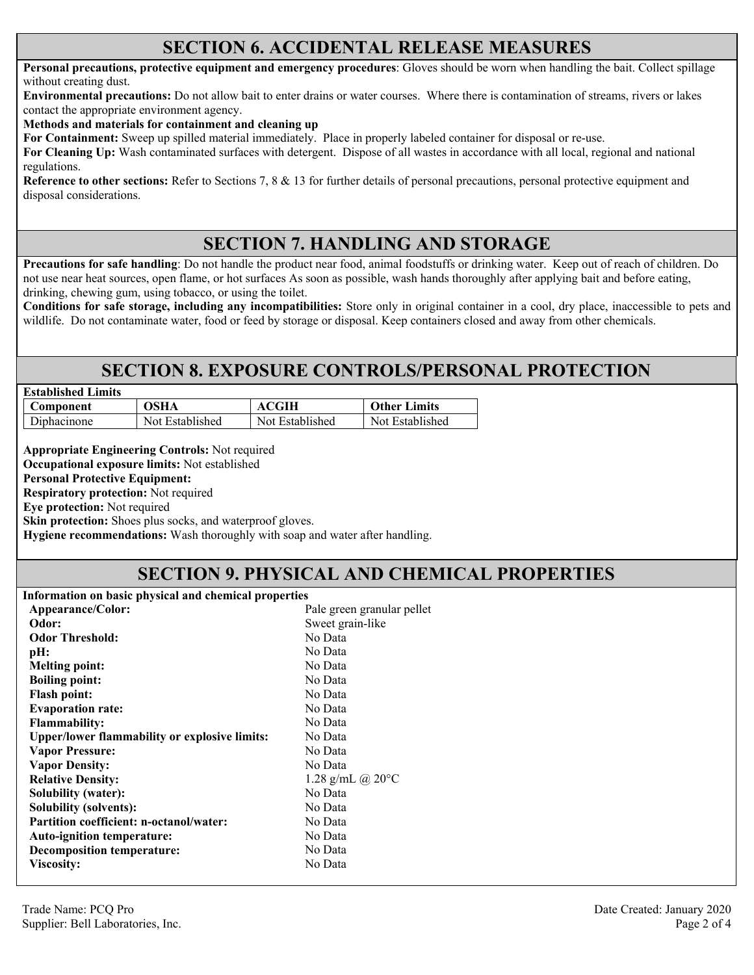#### **SECTION 6. ACCIDENTAL RELEASE MEASURES**

**Personal precautions, protective equipment and emergency procedures**: Gloves should be worn when handling the bait. Collect spillage without creating dust.

**Environmental precautions:** Do not allow bait to enter drains or water courses. Where there is contamination of streams, rivers or lakes contact the appropriate environment agency.

**Methods and materials for containment and cleaning up**

**For Containment:** Sweep up spilled material immediately. Place in properly labeled container for disposal or re-use.

**For Cleaning Up:** Wash contaminated surfaces with detergent. Dispose of all wastes in accordance with all local, regional and national regulations.

**Reference to other sections:** Refer to Sections 7, 8 & 13 for further details of personal precautions, personal protective equipment and disposal considerations.

### **SECTION 7. HANDLING AND STORAGE**

**Precautions for safe handling**: Do not handle the product near food, animal foodstuffs or drinking water. Keep out of reach of children. Do not use near heat sources, open flame, or hot surfaces As soon as possible, wash hands thoroughly after applying bait and before eating, drinking, chewing gum, using tobacco, or using the toilet.

**Conditions for safe storage, including any incompatibilities:** Store only in original container in a cool, dry place, inaccessible to pets and wildlife. Do not contaminate water, food or feed by storage or disposal. Keep containers closed and away from other chemicals.

#### **SECTION 8. EXPOSURE CONTROLS/PERSONAL PROTECTION**

| <b>Established Limits</b> |                 |                 |                     |
|---------------------------|-----------------|-----------------|---------------------|
| Component                 | OSHA            | ACGIH           | <b>Other Limits</b> |
| Diphacinone               | Not Established | Not Established | Not Established     |

**Appropriate Engineering Controls:** Not required

**Occupational exposure limits:** Not established

**Personal Protective Equipment:** 

**Respiratory protection:** Not required

**Eye protection:** Not required

**Skin protection:** Shoes plus socks, and waterproof gloves.

**Hygiene recommendations:** Wash thoroughly with soap and water after handling.

### **SECTION 9. PHYSICAL AND CHEMICAL PROPERTIES**

**Information on basic physical and chemical properties** 

| Appearance/Color:                                    | Pale green granular pellet |
|------------------------------------------------------|----------------------------|
| Odor:                                                | Sweet grain-like           |
| <b>Odor Threshold:</b>                               | No Data                    |
| pH:                                                  | No Data                    |
| <b>Melting point:</b>                                | No Data                    |
| <b>Boiling point:</b>                                | No Data                    |
| <b>Flash point:</b>                                  | No Data                    |
| <b>Evaporation rate:</b>                             | No Data                    |
| <b>Flammability:</b>                                 | No Data                    |
| <b>Upper/lower flammability or explosive limits:</b> | No Data                    |
| <b>Vapor Pressure:</b>                               | No Data                    |
| <b>Vapor Density:</b>                                | No Data                    |
| <b>Relative Density:</b>                             | 1.28 g/mL @ $20^{\circ}$ C |
| <b>Solubility (water):</b>                           | No Data                    |
| <b>Solubility (solvents):</b>                        | No Data                    |
| <b>Partition coefficient: n-octanol/water:</b>       | No Data                    |
| Auto-ignition temperature:                           | No Data                    |
| Decomposition temperature:                           | No Data                    |
| <b>Viscosity:</b>                                    | No Data                    |
|                                                      |                            |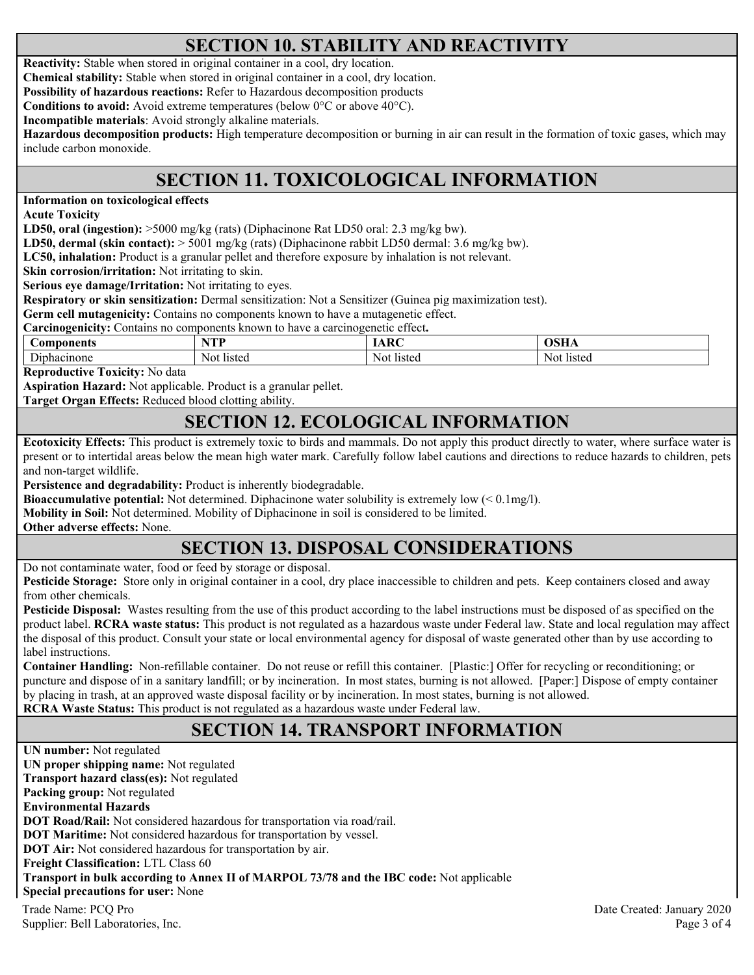### **SECTION 10. STABILITY AND REACTIVITY**

**Reactivity:** Stable when stored in original container in a cool, dry location.

**Chemical stability:** Stable when stored in original container in a cool, dry location.

**Possibility of hazardous reactions:** Refer to Hazardous decomposition products

**Conditions to avoid:** Avoid extreme temperatures (below 0°C or above 40°C).

**Incompatible materials**: Avoid strongly alkaline materials.

**Hazardous decomposition products:** High temperature decomposition or burning in air can result in the formation of toxic gases, which may include carbon monoxide.

## **SECTION 11. TOXICOLOGICAL INFORMATION**

**Information on toxicological effects** 

**Acute Toxicity** 

**LD50, oral (ingestion):** >5000 mg/kg (rats) (Diphacinone Rat LD50 oral: 2.3 mg/kg bw).

**LD50, dermal (skin contact):** > 5001 mg/kg (rats) (Diphacinone rabbit LD50 dermal: 3.6 mg/kg bw).

**LC50, inhalation:** Product is a granular pellet and therefore exposure by inhalation is not relevant.

**Skin corrosion/irritation:** Not irritating to skin.

**Serious eye damage/Irritation:** Not irritating to eyes.

**Respiratory or skin sensitization:** Dermal sensitization: Not a Sensitizer (Guinea pig maximization test).

**Germ cell mutagenicity:** Contains no components known to have a mutagenetic effect.

**Carcinogenicity:** Contains no components known to have a carcinogenetic effect**.** 

| ponents<br>.on                | $\mathbf{T}$ to $\mathbf{T}$<br>. . |               | $\boldsymbol{\alpha}$ |
|-------------------------------|-------------------------------------|---------------|-----------------------|
| $\sim$<br>cinone<br>144<br>na | listed<br>'NOL                      | Not<br>listed | listeg<br>Nol.        |

**Reproductive Toxicity:** No data

**Aspiration Hazard:** Not applicable. Product is a granular pellet.

**Target Organ Effects:** Reduced blood clotting ability.

#### **SECTION 12. ECOLOGICAL INFORMATION**

**Ecotoxicity Effects:** This product is extremely toxic to birds and mammals. Do not apply this product directly to water, where surface water is present or to intertidal areas below the mean high water mark. Carefully follow label cautions and directions to reduce hazards to children, pets and non-target wildlife.

**Persistence and degradability:** Product is inherently biodegradable.

**Bioaccumulative potential:** Not determined. Diphacinone water solubility is extremely low (< 0.1mg/l).

**Mobility in Soil:** Not determined. Mobility of Diphacinone in soil is considered to be limited.

**Other adverse effects:** None.

### **SECTION 13. DISPOSAL CONSIDERATIONS**

Do not contaminate water, food or feed by storage or disposal.

**Pesticide Storage:** Store only in original container in a cool, dry place inaccessible to children and pets. Keep containers closed and away from other chemicals.

**Pesticide Disposal:** Wastes resulting from the use of this product according to the label instructions must be disposed of as specified on the product label. **RCRA waste status:** This product is not regulated as a hazardous waste under Federal law. State and local regulation may affect the disposal of this product. Consult your state or local environmental agency for disposal of waste generated other than by use according to label instructions.

**Container Handling:** Non-refillable container. Do not reuse or refill this container. [Plastic:] Offer for recycling or reconditioning; or puncture and dispose of in a sanitary landfill; or by incineration. In most states, burning is not allowed. [Paper:] Dispose of empty container by placing in trash, at an approved waste disposal facility or by incineration. In most states, burning is not allowed. **RCRA Waste Status:** This product is not regulated as a hazardous waste under Federal law.

### **SECTION 14. TRANSPORT INFORMATION**

Trade Name: PCQ Pro Date Created: January 2020 Supplier: Bell Laboratories, Inc. 2008 and 2008 and 2008 and 2008 and 2008 and 2008 and 2008 and 2008 and 2008 and 2008 and 2008 and 2008 and 2008 and 2008 and 2008 and 2008 and 2008 and 2008 and 2008 and 2008 and 2008 and **UN number:** Not regulated **UN proper shipping name:** Not regulated **Transport hazard class(es):** Not regulated **Packing group:** Not regulated **Environmental Hazards DOT Road/Rail:** Not considered hazardous for transportation via road/rail. **DOT Maritime:** Not considered hazardous for transportation by vessel. **DOT Air:** Not considered hazardous for transportation by air. **Freight Classification:** LTL Class 60 **Transport in bulk according to Annex II of MARPOL 73/78 and the IBC code:** Not applicable **Special precautions for user:** None